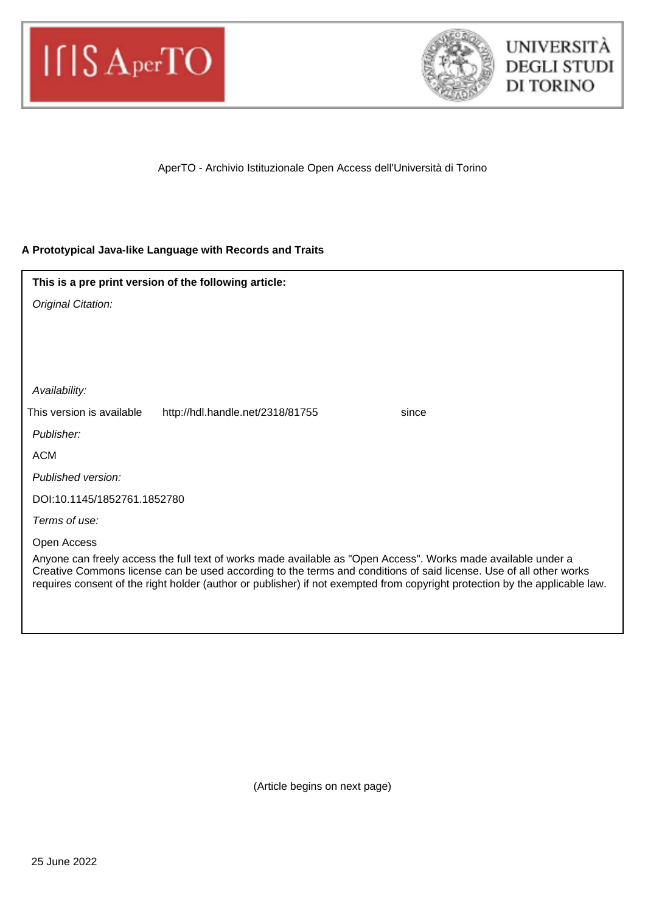



AperTO - Archivio Istituzionale Open Access dell'Università di Torino

## **A Prototypical Java-like Language with Records and Traits**

| This is a pre print version of the following article:                                                                                                                                                                                                                                                                                                              |  |  |  |  |
|--------------------------------------------------------------------------------------------------------------------------------------------------------------------------------------------------------------------------------------------------------------------------------------------------------------------------------------------------------------------|--|--|--|--|
| Original Citation:                                                                                                                                                                                                                                                                                                                                                 |  |  |  |  |
|                                                                                                                                                                                                                                                                                                                                                                    |  |  |  |  |
|                                                                                                                                                                                                                                                                                                                                                                    |  |  |  |  |
|                                                                                                                                                                                                                                                                                                                                                                    |  |  |  |  |
| Availability:                                                                                                                                                                                                                                                                                                                                                      |  |  |  |  |
| This version is available<br>http://hdl.handle.net/2318/81755<br>since                                                                                                                                                                                                                                                                                             |  |  |  |  |
| Publisher:                                                                                                                                                                                                                                                                                                                                                         |  |  |  |  |
| <b>ACM</b>                                                                                                                                                                                                                                                                                                                                                         |  |  |  |  |
| Published version:                                                                                                                                                                                                                                                                                                                                                 |  |  |  |  |
| DOI:10.1145/1852761.1852780                                                                                                                                                                                                                                                                                                                                        |  |  |  |  |
| Terms of use:                                                                                                                                                                                                                                                                                                                                                      |  |  |  |  |
| Open Access                                                                                                                                                                                                                                                                                                                                                        |  |  |  |  |
| Anyone can freely access the full text of works made available as "Open Access". Works made available under a<br>Creative Commons license can be used according to the terms and conditions of said license. Use of all other works<br>requires consent of the right holder (author or publisher) if not exempted from copyright protection by the applicable law. |  |  |  |  |

(Article begins on next page)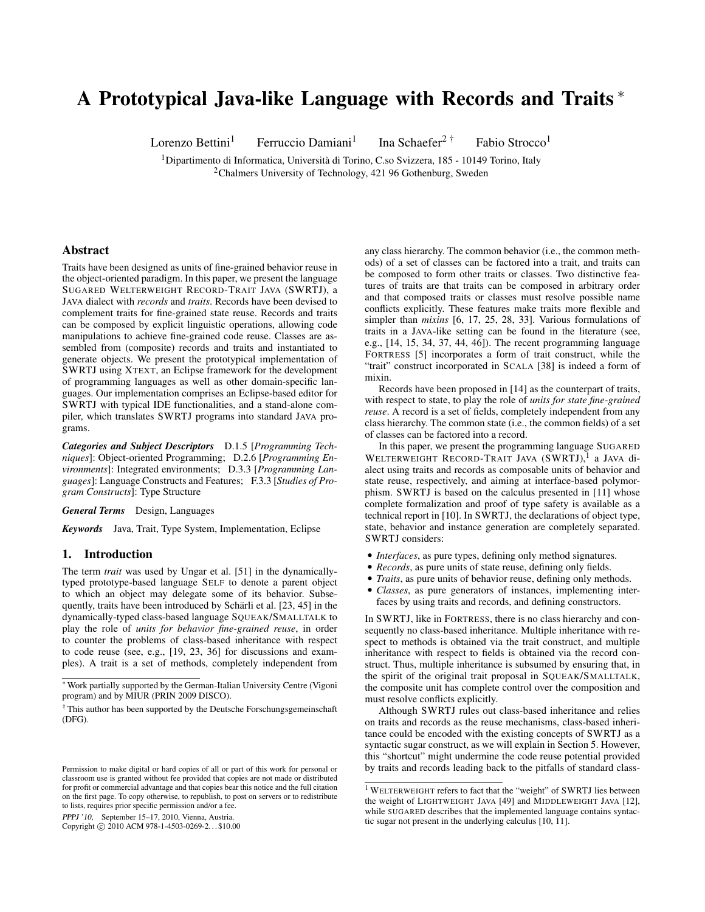# A Prototypical Java-like Language with Records and Traits <sup>∗</sup>

Lorenzo Bettini<sup>1</sup> Ferruccio Damiani<sup>1</sup>

Ina Schaefer<sup>2†</sup> Fabio Strocco<sup>1</sup>

<sup>1</sup>Dipartimento di Informatica, Università di Torino, C.so Svizzera, 185 - 10149 Torino, Italy <sup>2</sup>Chalmers University of Technology, 421 96 Gothenburg, Sweden

## Abstract

Traits have been designed as units of fine-grained behavior reuse in the object-oriented paradigm. In this paper, we present the language SUGARED WELTERWEIGHT RECORD-TRAIT JAVA (SWRTJ), a JAVA dialect with *records* and *traits*. Records have been devised to complement traits for fine-grained state reuse. Records and traits can be composed by explicit linguistic operations, allowing code manipulations to achieve fine-grained code reuse. Classes are assembled from (composite) records and traits and instantiated to generate objects. We present the prototypical implementation of SWRTJ using XTEXT, an Eclipse framework for the development of programming languages as well as other domain-specific languages. Our implementation comprises an Eclipse-based editor for SWRTJ with typical IDE functionalities, and a stand-alone compiler, which translates SWRTJ programs into standard JAVA programs.

*Categories and Subject Descriptors* D.1.5 [*Programming Techniques*]: Object-oriented Programming; D.2.6 [*Programming Environments*]: Integrated environments; D.3.3 [*Programming Languages*]: Language Constructs and Features; F.3.3 [*Studies of Program Constructs*]: Type Structure

#### *General Terms* Design, Languages

*Keywords* Java, Trait, Type System, Implementation, Eclipse

#### 1. Introduction

The term *trait* was used by Ungar et al. [51] in the dynamicallytyped prototype-based language SELF to denote a parent object to which an object may delegate some of its behavior. Subsequently, traits have been introduced by Schärli et al.  $[23, 45]$  in the dynamically-typed class-based language SQUEAK/SMALLTALK to play the role of *units for behavior fine-grained reuse*, in order to counter the problems of class-based inheritance with respect to code reuse (see, e.g., [19, 23, 36] for discussions and examples). A trait is a set of methods, completely independent from

PPPJ '10, September 15–17, 2010, Vienna, Austria.

Copyright © 2010 ACM 978-1-4503-0269-2... \$10.00

any class hierarchy. The common behavior (i.e., the common methods) of a set of classes can be factored into a trait, and traits can be composed to form other traits or classes. Two distinctive features of traits are that traits can be composed in arbitrary order and that composed traits or classes must resolve possible name conflicts explicitly. These features make traits more flexible and simpler than *mixins* [6, 17, 25, 28, 33]. Various formulations of traits in a JAVA-like setting can be found in the literature (see, e.g., [14, 15, 34, 37, 44, 46]). The recent programming language FORTRESS [5] incorporates a form of trait construct, while the "trait" construct incorporated in SCALA [38] is indeed a form of mixin.

Records have been proposed in [14] as the counterpart of traits, with respect to state, to play the role of *units for state fine-grained reuse*. A record is a set of fields, completely independent from any class hierarchy. The common state (i.e., the common fields) of a set of classes can be factored into a record.

In this paper, we present the programming language SUGARED WELTERWEIGHT RECORD-TRAIT JAVA (SWRTJ),<sup>1</sup> a JAVA dialect using traits and records as composable units of behavior and state reuse, respectively, and aiming at interface-based polymorphism. SWRTJ is based on the calculus presented in [11] whose complete formalization and proof of type safety is available as a technical report in [10]. In SWRTJ, the declarations of object type, state, behavior and instance generation are completely separated. SWRTJ considers:

- *Interfaces*, as pure types, defining only method signatures.
- *Records*, as pure units of state reuse, defining only fields.
- *Traits*, as pure units of behavior reuse, defining only methods.
- *Classes*, as pure generators of instances, implementing interfaces by using traits and records, and defining constructors.

In SWRTJ, like in FORTRESS, there is no class hierarchy and consequently no class-based inheritance. Multiple inheritance with respect to methods is obtained via the trait construct, and multiple inheritance with respect to fields is obtained via the record construct. Thus, multiple inheritance is subsumed by ensuring that, in the spirit of the original trait proposal in SQUEAK/SMALLTALK, the composite unit has complete control over the composition and must resolve conflicts explicitly.

Although SWRTJ rules out class-based inheritance and relies on traits and records as the reuse mechanisms, class-based inheritance could be encoded with the existing concepts of SWRTJ as a syntactic sugar construct, as we will explain in Section 5. However, this "shortcut" might undermine the code reuse potential provided by traits and records leading back to the pitfalls of standard class-

<sup>∗</sup> Work partially supported by the German-Italian University Centre (Vigoni program) and by MIUR (PRIN 2009 DISCO).

<sup>†</sup> This author has been supported by the Deutsche Forschungsgemeinschaft (DFG).

Permission to make digital or hard copies of all or part of this work for personal or classroom use is granted without fee provided that copies are not made or distributed for profit or commercial advantage and that copies bear this notice and the full citation on the first page. To copy otherwise, to republish, to post on servers or to redistribute to lists, requires prior specific permission and/or a fee.

<sup>&</sup>lt;sup>1</sup> WELTERWEIGHT refers to fact that the "weight" of SWRTJ lies between the weight of LIGHTWEIGHT JAVA [49] and MIDDLEWEIGHT JAVA [12], while SUGARED describes that the implemented language contains syntactic sugar not present in the underlying calculus [10, 11].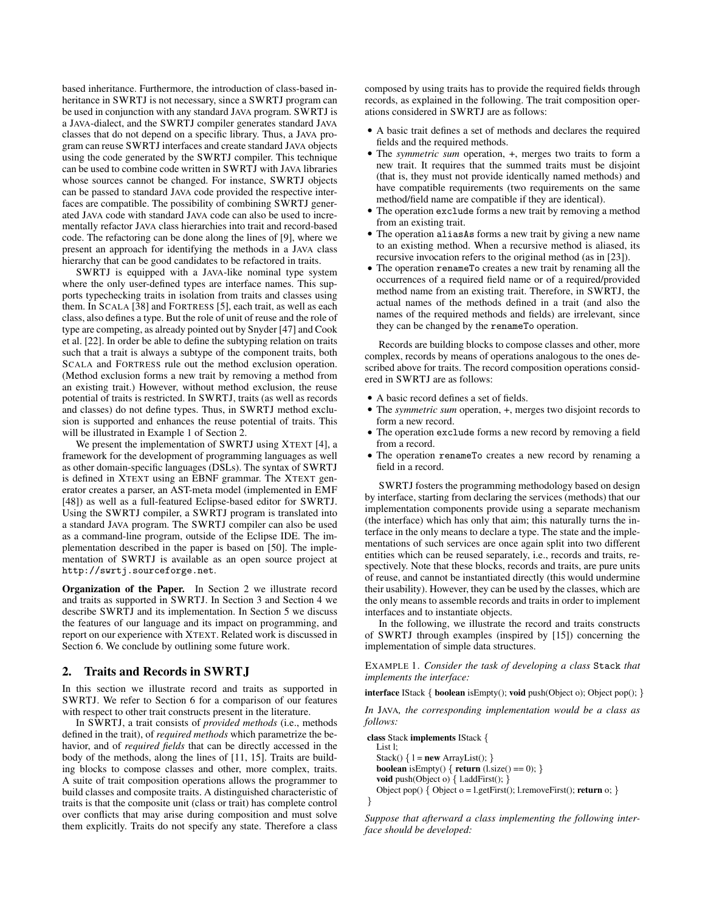based inheritance. Furthermore, the introduction of class-based inheritance in SWRTJ is not necessary, since a SWRTJ program can be used in conjunction with any standard JAVA program. SWRTJ is a JAVA-dialect, and the SWRTJ compiler generates standard JAVA classes that do not depend on a specific library. Thus, a JAVA program can reuse SWRTJ interfaces and create standard JAVA objects using the code generated by the SWRTJ compiler. This technique can be used to combine code written in SWRTJ with JAVA libraries whose sources cannot be changed. For instance, SWRTJ objects can be passed to standard JAVA code provided the respective interfaces are compatible. The possibility of combining SWRTJ generated JAVA code with standard JAVA code can also be used to incrementally refactor JAVA class hierarchies into trait and record-based code. The refactoring can be done along the lines of [9], where we present an approach for identifying the methods in a JAVA class hierarchy that can be good candidates to be refactored in traits.

SWRTJ is equipped with a JAVA-like nominal type system where the only user-defined types are interface names. This supports typechecking traits in isolation from traits and classes using them. In SCALA [38] and FORTRESS [5], each trait, as well as each class, also defines a type. But the role of unit of reuse and the role of type are competing, as already pointed out by Snyder [47] and Cook et al. [22]. In order be able to define the subtyping relation on traits such that a trait is always a subtype of the component traits, both SCALA and FORTRESS rule out the method exclusion operation. (Method exclusion forms a new trait by removing a method from an existing trait.) However, without method exclusion, the reuse potential of traits is restricted. In SWRTJ, traits (as well as records and classes) do not define types. Thus, in SWRTJ method exclusion is supported and enhances the reuse potential of traits. This will be illustrated in Example 1 of Section 2.

We present the implementation of SWRTJ using XTEXT [4], a framework for the development of programming languages as well as other domain-specific languages (DSLs). The syntax of SWRTJ is defined in XTEXT using an EBNF grammar. The XTEXT generator creates a parser, an AST-meta model (implemented in EMF [48]) as well as a full-featured Eclipse-based editor for SWRTJ. Using the SWRTJ compiler, a SWRTJ program is translated into a standard JAVA program. The SWRTJ compiler can also be used as a command-line program, outside of the Eclipse IDE. The implementation described in the paper is based on [50]. The implementation of SWRTJ is available as an open source project at http://swrtj.sourceforge.net.

Organization of the Paper. In Section 2 we illustrate record and traits as supported in SWRTJ. In Section 3 and Section 4 we describe SWRTJ and its implementation. In Section 5 we discuss the features of our language and its impact on programming, and report on our experience with XTEXT. Related work is discussed in Section 6. We conclude by outlining some future work.

### 2. Traits and Records in SWRTJ

In this section we illustrate record and traits as supported in SWRTJ. We refer to Section 6 for a comparison of our features with respect to other trait constructs present in the literature.

In SWRTJ, a trait consists of *provided methods* (i.e., methods defined in the trait), of *required methods* which parametrize the behavior, and of *required fields* that can be directly accessed in the body of the methods, along the lines of [11, 15]. Traits are building blocks to compose classes and other, more complex, traits. A suite of trait composition operations allows the programmer to build classes and composite traits. A distinguished characteristic of traits is that the composite unit (class or trait) has complete control over conflicts that may arise during composition and must solve them explicitly. Traits do not specify any state. Therefore a class composed by using traits has to provide the required fields through records, as explained in the following. The trait composition operations considered in SWRTJ are as follows:

- A basic trait defines a set of methods and declares the required fields and the required methods.
- The *symmetric sum* operation, +, merges two traits to form a new trait. It requires that the summed traits must be disjoint (that is, they must not provide identically named methods) and have compatible requirements (two requirements on the same method/field name are compatible if they are identical).
- The operation exclude forms a new trait by removing a method from an existing trait.
- The operation aliasAs forms a new trait by giving a new name to an existing method. When a recursive method is aliased, its recursive invocation refers to the original method (as in [23]).
- The operation renameTo creates a new trait by renaming all the occurrences of a required field name or of a required/provided method name from an existing trait. Therefore, in SWRTJ, the actual names of the methods defined in a trait (and also the names of the required methods and fields) are irrelevant, since they can be changed by the renameTo operation.

Records are building blocks to compose classes and other, more complex, records by means of operations analogous to the ones described above for traits. The record composition operations considered in SWRTJ are as follows:

- A basic record defines a set of fields.
- The *symmetric sum* operation, +, merges two disjoint records to form a new record.
- The operation exclude forms a new record by removing a field from a record.
- The operation renameTo creates a new record by renaming a field in a record.

SWRTJ fosters the programming methodology based on design by interface, starting from declaring the services (methods) that our implementation components provide using a separate mechanism (the interface) which has only that aim; this naturally turns the interface in the only means to declare a type. The state and the implementations of such services are once again split into two different entities which can be reused separately, i.e., records and traits, respectively. Note that these blocks, records and traits, are pure units of reuse, and cannot be instantiated directly (this would undermine their usability). However, they can be used by the classes, which are the only means to assemble records and traits in order to implement interfaces and to instantiate objects.

In the following, we illustrate the record and traits constructs of SWRTJ through examples (inspired by [15]) concerning the implementation of simple data structures.

EXAMPLE 1. *Consider the task of developing a class* Stack *that implements the interface:*

interface IStack { boolean isEmpty(); void push(Object o); Object pop(); }

*In* JAVA*, the corresponding implementation would be a class as follows:*

class Stack implements IStack { List l; Stack()  $\{ 1 = new ArrayList(); \}$ **boolean** isEmpty() { return  $(l.size() == 0)$ ; } void push(Object o) { l.addFirst(); } Object pop()  $\{$  Object o = l.getFirst(); l.removeFirst(); return o;  $\}$ }

*Suppose that afterward a class implementing the following interface should be developed:*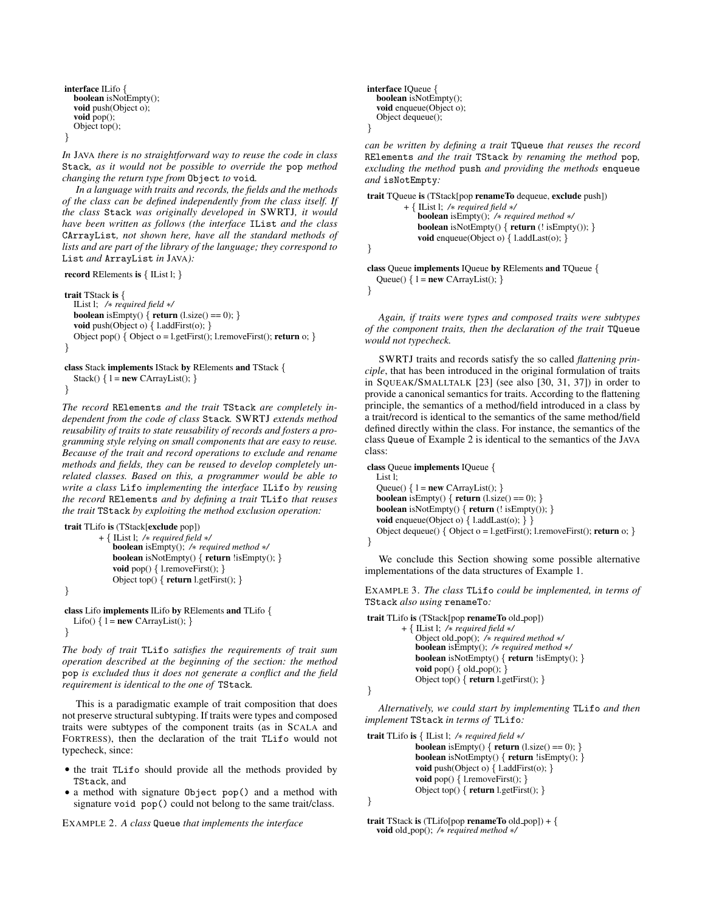```
interface ILifo {
  boolean isNotEmpty();
  void push(Object o);
  void pop();
  Object top();
}
```
*In* JAVA *there is no straightforward way to reuse the code in class* Stack*, as it would not be possible to override the* pop *method changing the return type from* Object *to* void*.*

*In a language with traits and records, the fields and the methods of the class can be defined independently from the class itself. If the class* Stack *was originally developed in* SWRTJ*, it would have been written as follows (the interface* IList *and the class* CArrayList*, not shown here, have all the standard methods of lists and are part of the library of the language; they correspond to* List *and* ArrayList *in* JAVA*):*

record RElements is { IList l; }

trait TStack is { IList l; */*∗ *required field* ∗*/* **boolean** isEmpty() { return (l.size() == 0); } void push(Object o)  $\{$  l.addFirst(o);  $\}$ Object pop() { Object o = l.getFirst(); l.removeFirst(); return o; } }

class Stack implements IStack by RElements and TStack { Stack()  $\{ 1 = new CArrayList(); \}$ 

}

*The record* RElements *and the trait* TStack *are completely independent from the code of class* Stack*.* SWRTJ *extends method reusability of traits to state reusability of records and fosters a programming style relying on small components that are easy to reuse. Because of the trait and record operations to exclude and rename methods and fields, they can be reused to develop completely unrelated classes. Based on this, a programmer would be able to write a class* Lifo *implementing the interface* ILifo *by reusing the record* RElements *and by defining a trait* TLifo *that reuses the trait* TStack *by exploiting the method exclusion operation:*

```
trait TLifo is (TStack[exclude pop])
         + { IList l; /∗ required field ∗/
             boolean isEmpty(); /∗ required method ∗/
             boolean isNotEmpty() { return !isEmpty(); }
             void pop() \{ l.removeFirst(); \}Object top() { return l.getFirst(); }
}
class Lifo implements ILifo by RElements and TLifo {
```
Lifo()  $\{ 1 = new CArrayList(); \}$ }

*The body of trait* TLifo *satisfies the requirements of trait sum operation described at the beginning of the section: the method* pop *is excluded thus it does not generate a conflict and the field requirement is identical to the one of* TStack*.*

This is a paradigmatic example of trait composition that does not preserve structural subtyping. If traits were types and composed traits were subtypes of the component traits (as in SCALA and FORTRESS), then the declaration of the trait TLifo would not typecheck, since:

- the trait TLifo should provide all the methods provided by TStack, and
- a method with signature Object pop() and a method with signature void pop() could not belong to the same trait/class.

EXAMPLE 2. *A class* Queue *that implements the interface*

interface IQueue { boolean isNotEmpty(); void enqueue(Object o); Object dequeue(); }

*can be written by defining a trait* TQueue *that reuses the record* RElements *and the trait* TStack *by renaming the method* pop*, excluding the method* push *and providing the methods* enqueue *and* isNotEmpty*:*

```
trait TQueue is (TStack[pop renameTo dequeue, exclude push])
         + { IList l; /∗ required field ∗/
             boolean isEmpty(); /∗ required method ∗/
             boolean isNotEmpty() { return (! isEmpty()); }
             void enqueue(Object o) { l.addLast(o); }
}
```
class Queue implements IQueue by RElements and TQueue { Queue()  $\{1 = new CArrayList();\}$ }

*Again, if traits were types and composed traits were subtypes of the component traits, then the declaration of the trait* TQueue *would not typecheck.*

SWRTJ traits and records satisfy the so called *flattening principle*, that has been introduced in the original formulation of traits in SQUEAK/SMALLTALK [23] (see also [30, 31, 37]) in order to provide a canonical semantics for traits. According to the flattening principle, the semantics of a method/field introduced in a class by a trait/record is identical to the semantics of the same method/field defined directly within the class. For instance, the semantics of the class Queue of Example 2 is identical to the semantics of the JAVA class:

```
class Queue implements IQueue {
  List l;
  Queue() \{1 = new CArrayList();\}boolean isEmpty() { return (l.size() == 0); }
  boolean isNotEmpty() \{ return (! isEmpty()); \}void enqueue(Object o) { 1.addLast(o); } }
  Object dequeue() \{ Object o = l.getFirst(); l.removeFirst(); return o; \}}
```
We conclude this Section showing some possible alternative implementations of the data structures of Example 1.

EXAMPLE 3. *The class* TLifo *could be implemented, in terms of* TStack *also using* renameTo*:*

```
trait TLifo is (TStack[pop renameTo old_pop])
         + { IList l; /∗ required field ∗/
             Object old pop(); /∗ required method ∗/
             boolean isEmpty(); /∗ required method ∗/
             boolean isNotEmpty() { return !isEmpty(); }
             void pop() \{ old.pop(); \}Object top() \{ return l.getFirst(); \}
```
}

*Alternatively, we could start by implementing* TLifo *and then implement* TStack *in terms of* TLifo*:*

```
trait TLifo is { IList l; /∗ required field ∗/
             boolean isEmpty() { return (l.size() == 0); }
             boolean isNotEmpty() { return !isEmpty(); }
             void push(Object o) { l.addFirst(o); }
             void pop() { 1.removeFirst(); }
             Object top() { return l.getFirst(); }
}
```
trait TStack is (TLifo[pop renameTo old\_pop]) + { void old pop(); */*∗ *required method* ∗*/*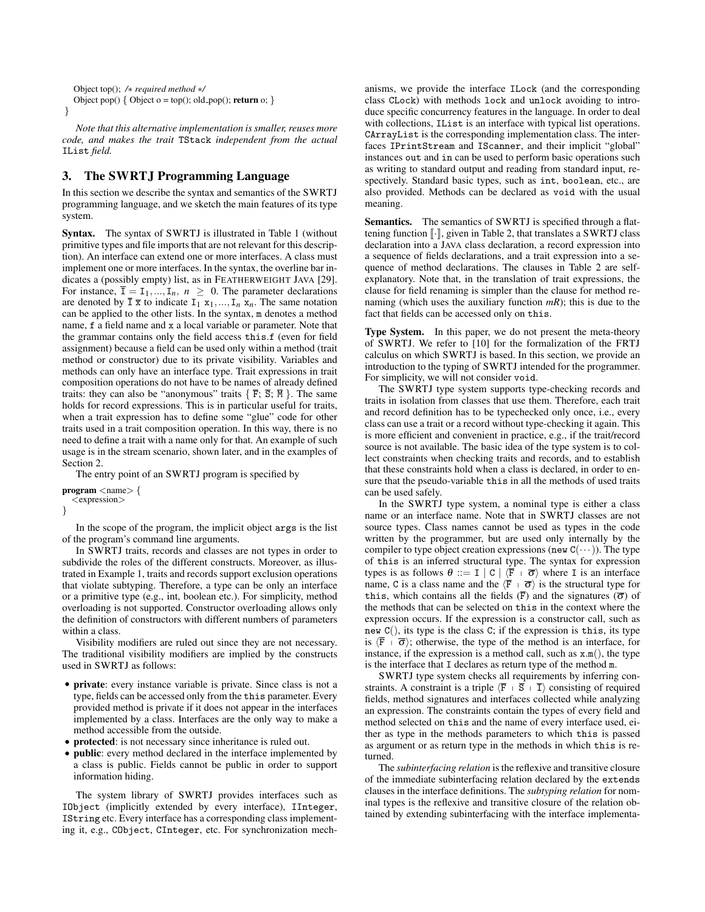```
Object top(); /∗ required method ∗/
  Object pop() \{ Object o = top(); old_pop(); return o; \}}
```
*Note that this alternative implementation is smaller, reuses more code, and makes the trait* TStack *independent from the actual* IList *field.*

## 3. The SWRTJ Programming Language

In this section we describe the syntax and semantics of the SWRTJ programming language, and we sketch the main features of its type system.

Syntax. The syntax of SWRTJ is illustrated in Table 1 (without primitive types and file imports that are not relevant for this description). An interface can extend one or more interfaces. A class must implement one or more interfaces. In the syntax, the overline bar indicates a (possibly empty) list, as in FEATHERWEIGHT JAVA [29]. For instance,  $\overline{I} = I_1, ..., I_n, n \geq 0$ . The parameter declarations are denoted by  $\overline{\mathbf{I}} \overline{\mathbf{x}}$  to indicate  $\mathbf{I}_1 \mathbf{x}_1, ..., \mathbf{I}_n \mathbf{x}_n$ . The same notation can be applied to the other lists. In the syntax, m denotes a method name, f a field name and x a local variable or parameter. Note that the grammar contains only the field access this.f (even for field assignment) because a field can be used only within a method (trait method or constructor) due to its private visibility. Variables and methods can only have an interface type. Trait expressions in trait composition operations do not have to be names of already defined traits: they can also be "anonymous" traits  $\{\overline{F}; \overline{S}; \overline{M}\}$ . The same holds for record expressions. This is in particular useful for traits, when a trait expression has to define some "glue" code for other traits used in a trait composition operation. In this way, there is no need to define a trait with a name only for that. An example of such usage is in the stream scenario, shown later, and in the examples of Section 2.

The entry point of an SWRTJ program is specified by

 $program < name >$ <expression>

In the scope of the program, the implicit object args is the list of the program's command line arguments.

In SWRTJ traits, records and classes are not types in order to subdivide the roles of the different constructs. Moreover, as illustrated in Example 1, traits and records support exclusion operations that violate subtyping. Therefore, a type can be only an interface or a primitive type (e.g., int, boolean etc.). For simplicity, method overloading is not supported. Constructor overloading allows only the definition of constructors with different numbers of parameters within a class.

Visibility modifiers are ruled out since they are not necessary. The traditional visibility modifiers are implied by the constructs used in SWRTJ as follows:

- private: every instance variable is private. Since class is not a type, fields can be accessed only from the this parameter. Every provided method is private if it does not appear in the interfaces implemented by a class. Interfaces are the only way to make a method accessible from the outside.
- protected: is not necessary since inheritance is ruled out.
- public: every method declared in the interface implemented by a class is public. Fields cannot be public in order to support information hiding.

The system library of SWRTJ provides interfaces such as IObject (implicitly extended by every interface), IInteger, IString etc. Every interface has a corresponding class implementing it, e.g., CObject, CInteger, etc. For synchronization mechanisms, we provide the interface ILock (and the corresponding class CLock) with methods lock and unlock avoiding to introduce specific concurrency features in the language. In order to deal with collections, IList is an interface with typical list operations. CArrayList is the corresponding implementation class. The interfaces IPrintStream and IScanner, and their implicit "global" instances out and in can be used to perform basic operations such as writing to standard output and reading from standard input, respectively. Standard basic types, such as int, boolean, etc., are also provided. Methods can be declared as void with the usual meaning.

Semantics. The semantics of SWRTJ is specified through a flattening function  $\lbrack \cdot \rbrack$ , given in Table 2, that translates a SWRTJ class declaration into a JAVA class declaration, a record expression into a sequence of fields declarations, and a trait expression into a sequence of method declarations. The clauses in Table 2 are selfexplanatory. Note that, in the translation of trait expressions, the clause for field renaming is simpler than the clause for method renaming (which uses the auxiliary function *mR*); this is due to the fact that fields can be accessed only on this.

Type System. In this paper, we do not present the meta-theory of SWRTJ. We refer to [10] for the formalization of the FRTJ calculus on which SWRTJ is based. In this section, we provide an introduction to the typing of SWRTJ intended for the programmer. For simplicity, we will not consider void.

The SWRTJ type system supports type-checking records and traits in isolation from classes that use them. Therefore, each trait and record definition has to be typechecked only once, i.e., every class can use a trait or a record without type-checking it again. This is more efficient and convenient in practice, e.g., if the trait/record source is not available. The basic idea of the type system is to collect constraints when checking traits and records, and to establish that these constraints hold when a class is declared, in order to ensure that the pseudo-variable this in all the methods of used traits can be used safely.

In the SWRTJ type system, a nominal type is either a class name or an interface name. Note that in SWRTJ classes are not source types. Class names cannot be used as types in the code written by the programmer, but are used only internally by the compiler to type object creation expressions (new  $C(\cdots)$ ). The type of this is an inferred structural type. The syntax for expression types is as follows  $\theta := I \mid C \mid \langle \overline{F} + \overline{\sigma} \rangle$  where I is an interface name, C is a class name and the  $\langle \overline{F} + \overline{\sigma} \rangle$  is the structural type for this, which contains all the fields  $(\overline{F})$  and the signatures  $(\overline{\sigma})$  of the methods that can be selected on this in the context where the expression occurs. If the expression is a constructor call, such as new C(), its type is the class C; if the expression is this, its type is  $\langle \overline{F} + \overline{\sigma} \rangle$ ; otherwise, the type of the method is an interface, for instance, if the expression is a method call, such as  $x.m()$ , the type is the interface that I declares as return type of the method m.

SWRTJ type system checks all requirements by inferring constraints. A constraint is a triple  $\langle \overline{F} + \overline{S} + \overline{I} \rangle$  consisting of required fields, method signatures and interfaces collected while analyzing an expression. The constraints contain the types of every field and method selected on this and the name of every interface used, either as type in the methods parameters to which this is passed as argument or as return type in the methods in which this is returned.

The *subinterfacing relation* is the reflexive and transitive closure of the immediate subinterfacing relation declared by the extends clauses in the interface definitions. The *subtyping relation* for nominal types is the reflexive and transitive closure of the relation obtained by extending subinterfacing with the interface implementa-

<sup>}</sup>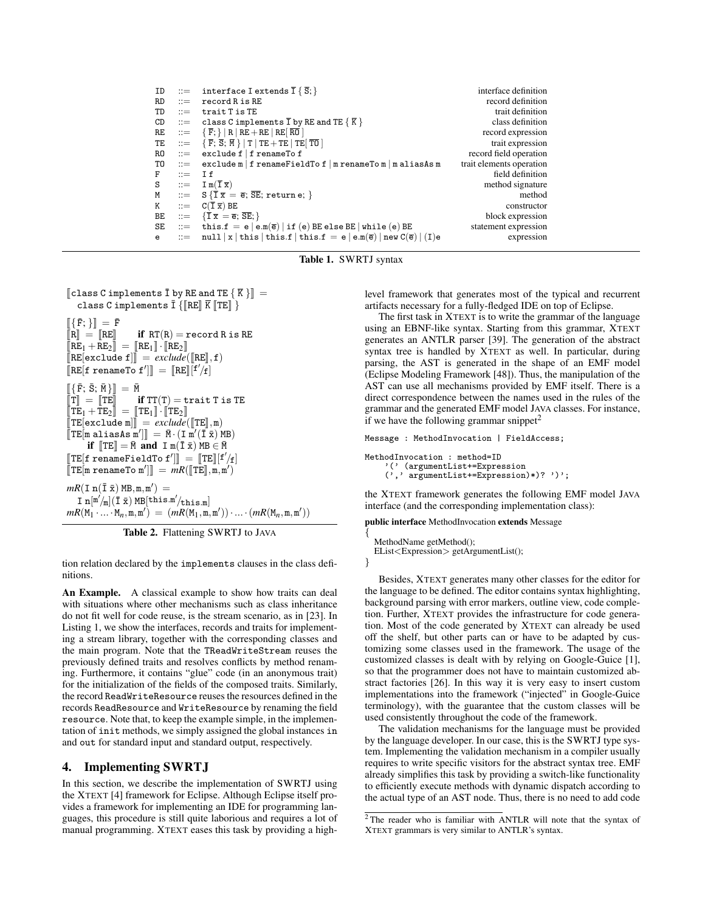| ID        | $\mathrel{\mathop:}=$     | interface I extends $\overline{I} \{ \overline{S}; \}$                                         | interface definition     |
|-----------|---------------------------|------------------------------------------------------------------------------------------------|--------------------------|
| <b>RD</b> | $::=$                     | record R is RE                                                                                 | record definition        |
| TD        | $\mathbf{m}$              | trait T is TE                                                                                  | trait definition         |
| CD        | $\mathrel{\mathop:}=$     | class C implements $\overline{I}$ by RE and TE $\{\overline{K}\}\$                             | class definition         |
| RE        |                           | $ ::= \{ \overline{F}; \}   R   RE + RE   RE   RE$                                             | record expression        |
| TE        |                           | $ ::= \{ \overline{F}; \overline{S}; \overline{M} \}   T   TE + TE   TE   \overline{TO} \}$    | trait expression         |
| RO.       | $\mathbb{R}^{\mathbb{Z}}$ | $exclude f   f$ renameTo f                                                                     | record field operation   |
| T0        | $\mathbf{m}$              | $exclude m   f renameFieldTo f   m renameTo m   m aliasAs m$                                   | trait elements operation |
| F         | $\mathbf{m}$              | Ιf                                                                                             | field definition         |
| S         | $\mathbf{m}$              | $Im(\overline{I}\ \overline{x})$                                                               | method signature         |
| M         |                           | $\therefore$ S { $\overline{I} \overline{x} = \overline{e}$ ; $\overline{SE}$ ; return e; }    | method                   |
| Κ         | $\mathrel{\mathop:}=$     | $C(\overline{I}\ \overline{x})$ BE                                                             | constructor              |
| BE        | $\mathrel{\mathop:}=$     | $\{\overline{I}\ \overline{x} = \overline{e}; \overline{SE};\}$                                | block expression         |
| SE        | $\mathrel{\mathop:}=$     | this.f = $e   e.m(\overline{e})   if (e) BE else BE   while (e) BE$                            | statement expression     |
| e         | $\mathrel{\mathop:}=$     | null   x   this   this.f   this.f = e   e.m( $\overline{e}$ )   new C( $\overline{e}$ )   (I)e | expression               |

Table 1. SWRTJ syntax

 $\llbracket$  class C implements  $\bar{I}$  by RE and TE  $\{ \bar{K} \} \rrbracket =$ class C implements  $\overline{I}$  { $\overline{[RE]}$   $\overline{K}$   $\overline{[TE]}$ }  $\begin{bmatrix} [\{\bar{F}; \}] \end{bmatrix} = \bar{F}$ <br> $\begin{bmatrix} R \end{bmatrix} = \begin{bmatrix} RE \end{bmatrix}$  $\begin{array}{ll} \hbox{[R]} = \hbox{[RE]} & \text{if } \hbox{RT(R)} = \hbox{record R is RE} \ \hbox{[BF, + BF,]} & - \hbox{[BF,].} \hbox{[BF,]} \end{array}$  $[\begin{bmatrix}RE_1 + RE_2 \end{bmatrix} = [\begin{bmatrix}RE_1 \end{bmatrix} \cdot [\begin{bmatrix}RE_2 \end{bmatrix}]$  $[\mathbb{RE}[\texttt{exclude f}]] = \textit{exclude}([\mathbb{RE}], f)$ <br> $[\mathbb{RE}[f] = \texttt{scoreTo } f^\prime/\mathbb{I}] = [\mathbb{RE}][f^\prime/\mathbb{I}]$  $\left[\begin{bmatrix} RE[f \text{ renameTo } f'] \end{bmatrix} = \left[RE \right] \left[ \begin{bmatrix} f'/f \end{bmatrix} \right]$  $\begin{array}{c} [[\{\bar{\mathtt{F}};\,\bar{\mathtt{S}};\,\bar{\mathtt{M}}\}] = \bar{\mathtt{M}} \ {\tt \lVert T \rVert} = {\tt \lVert TE \rVert} \qquad {\tt i} \end{array}$ **if**  $TT(T) = \text{train} T$  is TE  $[\![\bar{\texttt{TE}}_1 + \bar{\texttt{TE}}_2]\!] = [\![\texttt{TE}_1]\!] \cdot [\![\texttt{TE}_2]\!]$  $\llbracket TE \vert ext$ exclude m $\vert \bar{\vert} = \text{exclude}(\llbracket TE \rrbracket, \mathfrak{m})$  $[\![\texttt{TE}[\![\mathbf{m}\!] \texttt{aliasAs} \!] \mathbf{m}']\!] = \bar{M} \cdot (\texttt{I} \!|\! \mathbf{m}'(\bar{\mathbf{I}} \!|\! \bar{\mathbf{x}}) \texttt{m} \texttt{B})$ <br>
if  $[\![\texttt{TF}]\!] = \bar{M}$  and  $\texttt{Im}(\bar{\mathbf{I}} \!|\! \bar{\mathbf{x}}) \texttt{m} \texttt{B} \in \bar{M}$ if  $\Vert TE \Vert = \overline{M}$  and  $I m(\overline{I} \overline{x}) MB \in \overline{M}$  $\begin{bmatrix} \mathbb{TE}[\mathbf{f} \text{ renameFieldTo } \mathbf{f}'] \end{bmatrix} = \begin{bmatrix} \mathbb{TE} \end{bmatrix} [\mathbf{f}'/f]$ <br>  $\begin{bmatrix} \mathbb{TF} \mathbb{F} \text{ remove } \mathbb{F} \text{ or } \mathbb{F} \text{ prove } \mathbb{F} \text{ or } \mathbb{F} \end{bmatrix} = mR(\mathbb{F} \mathbb{F} \mathbb{F} \text{ or } \mathbb{F} \text{ or } \mathbb{F} \text{)}$  $[\![\texttt{TE}[\![\mathbf{m}\!] \texttt{renameTo} \; \mathbf{m}^\prime ]\!] = mR([\![\texttt{TE}]\!], \mathbf{m}, \mathbf{m}^\prime)$  $mR(\texttt{I} \texttt{n}(\bar{\texttt{I}} \texttt{x}) \texttt{MB}, \texttt{m}, \texttt{m}') =$  $\bar{\ln}[\bar{\ln}'/\bar{\ln}](\bar{\bar{I}}\ \bar{\bar{\mathbf{x}}})\ \texttt{MB}[\texttt{this.m}]/\texttt{this.m}]$  $mR(\mathbb{M}_1 \cdot ... \cdot \mathbb{M}_n, \mathbb{m}, \mathbb{m}') = (mR(\mathbb{M}_1, \mathbb{m}, \mathbb{m}')) \cdot ... \cdot (mR(\mathbb{M}_n, \mathbb{m}, \mathbb{m}'))$ 



tion relation declared by the implements clauses in the class definitions.

An Example. A classical example to show how traits can deal with situations where other mechanisms such as class inheritance do not fit well for code reuse, is the stream scenario, as in [23]. In Listing 1, we show the interfaces, records and traits for implementing a stream library, together with the corresponding classes and the main program. Note that the TReadWriteStream reuses the previously defined traits and resolves conflicts by method renaming. Furthermore, it contains "glue" code (in an anonymous trait) for the initialization of the fields of the composed traits. Similarly, the record ReadWriteResource reuses the resources defined in the records ReadResource and WriteResource by renaming the field resource. Note that, to keep the example simple, in the implementation of init methods, we simply assigned the global instances in and out for standard input and standard output, respectively.

## 4. Implementing SWRTJ

In this section, we describe the implementation of SWRTJ using the XTEXT [4] framework for Eclipse. Although Eclipse itself provides a framework for implementing an IDE for programming languages, this procedure is still quite laborious and requires a lot of manual programming. XTEXT eases this task by providing a highlevel framework that generates most of the typical and recurrent artifacts necessary for a fully-fledged IDE on top of Eclipse.

The first task in XTEXT is to write the grammar of the language using an EBNF-like syntax. Starting from this grammar, XTEXT generates an ANTLR parser [39]. The generation of the abstract syntax tree is handled by XTEXT as well. In particular, during parsing, the AST is generated in the shape of an EMF model (Eclipse Modeling Framework [48]). Thus, the manipulation of the AST can use all mechanisms provided by EMF itself. There is a direct correspondence between the names used in the rules of the grammar and the generated EMF model JAVA classes. For instance, if we have the following grammar snippet<sup>2</sup>

```
Message : MethodInvocation | FieldAccess;
```

```
MethodInvocation : method=ID
    '(' (argumentList+=Expression
    (',' argumentList+=Expression)*)? ')';
```
the XTEXT framework generates the following EMF model JAVA interface (and the corresponding implementation class):

public interface MethodInvocation extends Message

{ MethodName getMethod(); EList<Expression> getArgumentList(); }

Besides, XTEXT generates many other classes for the editor for the language to be defined. The editor contains syntax highlighting, background parsing with error markers, outline view, code completion. Further, XTEXT provides the infrastructure for code generation. Most of the code generated by XTEXT can already be used off the shelf, but other parts can or have to be adapted by customizing some classes used in the framework. The usage of the customized classes is dealt with by relying on Google-Guice [1], so that the programmer does not have to maintain customized abstract factories [26]. In this way it is very easy to insert custom implementations into the framework ("injected" in Google-Guice terminology), with the guarantee that the custom classes will be used consistently throughout the code of the framework.

The validation mechanisms for the language must be provided by the language developer. In our case, this is the SWRTJ type system. Implementing the validation mechanism in a compiler usually requires to write specific visitors for the abstract syntax tree. EMF already simplifies this task by providing a switch-like functionality to efficiently execute methods with dynamic dispatch according to the actual type of an AST node. Thus, there is no need to add code

<sup>2</sup> The reader who is familiar with ANTLR will note that the syntax of XTEXT grammars is very similar to ANTLR's syntax.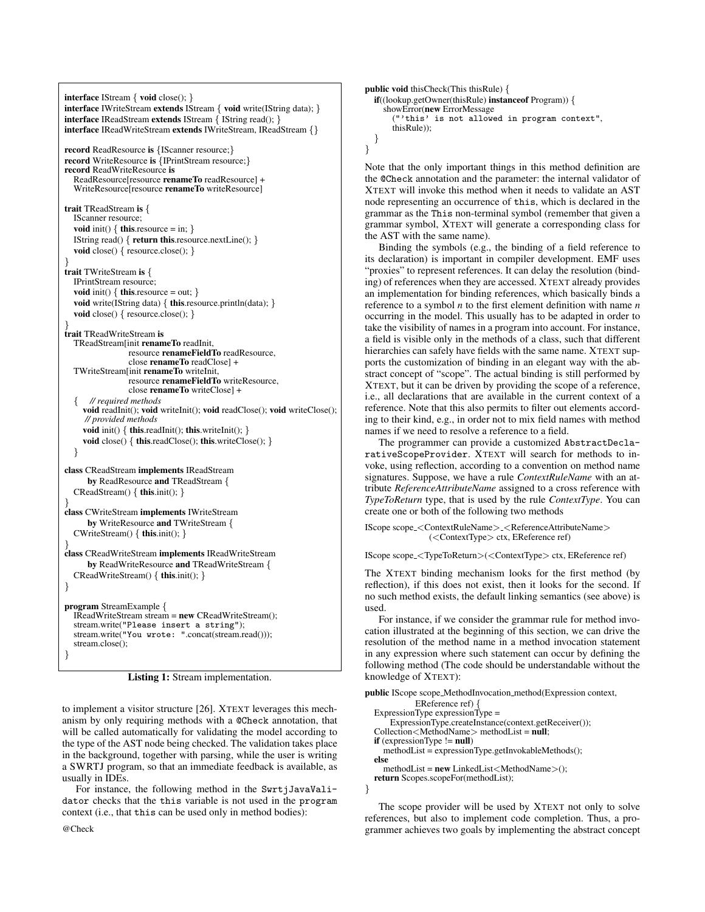```
interface IStream { void close(); }
interface IWriteStream extends IStream { void write(IString data); }
interface IReadStream extends IStream { IString read(); }
interface IReadWriteStream extends IWriteStream, IReadStream {}
record ReadResource is {IScanner resource;}
record WriteResource is {IPrintStream resource;}
record ReadWriteResource is
  ReadResource[resource renameTo readResource] +
  WriteResource[resource renameTo writeResource]
trait TReadStream is {
  IScanner resource;
  void init() \{ this.resource = in; \}IString read() { return this.resource.nextLine(); }
  void close() { resource.close(); }
}
trait TWriteStream is {
  IPrintStream resource;
  void init() \{ this.resource = out; \}void write(IString data) { this.resource.println(data); }
  void close() { resource.close(); }
}
trait TReadWriteStream is
  TReadStream[init renameTo readInit,
                resource renameFieldTo readResource,
                close renameTo readClose] +
  TWriteStream[init renameTo writeInit,
                resource renameFieldTo writeResource,
                close renameTo writeClose] +
      { // required methods
     void readInit(); void writeInit(); void readClose(); void writeClose();
     // provided methods
     void init() \{ this.readInit(); this.writeInit(); \}void close() { this.readClose(); this.writeClose(); }
   }
class CReadStream implements IReadStream
      by ReadResource and TReadStream {
  CReadStream() { this.init(); }
}
class CWriteStream implements IWriteStream
      by WriteResource and TWriteStream {
  CWriteStream() { this.init(); }
}
class CReadWriteStream implements IReadWriteStream
      by ReadWriteResource and TReadWriteStream {
  CReadWriteStream() { this.init(); }
}
program StreamExample {
  IReadWriteStream stream = new CReadWriteStream();
  stream.write("Please insert a string");
  stream.write("You wrote: ".concat(stream.read()));
  stream.close();
}
```
Listing 1: Stream implementation.

to implement a visitor structure [26]. XTEXT leverages this mechanism by only requiring methods with a @Check annotation, that will be called automatically for validating the model according to the type of the AST node being checked. The validation takes place in the background, together with parsing, while the user is writing a SWRTJ program, so that an immediate feedback is available, as usually in IDEs.

For instance, the following method in the SwrtjJavaValidator checks that the this variable is not used in the program context (i.e., that this can be used only in method bodies):

@Check

```
public void thisCheck(This thisRule) {
  if((lookup.getOwner(thisRule) instanceof Program)) {
    showError(new ErrorMessage
        "this' is not allowed in program context",
      thisRule));
  }
```
}

Note that the only important things in this method definition are the @Check annotation and the parameter: the internal validator of XTEXT will invoke this method when it needs to validate an AST node representing an occurrence of this, which is declared in the grammar as the This non-terminal symbol (remember that given a grammar symbol, XTEXT will generate a corresponding class for the AST with the same name).

Binding the symbols (e.g., the binding of a field reference to its declaration) is important in compiler development. EMF uses "proxies" to represent references. It can delay the resolution (binding) of references when they are accessed. XTEXT already provides an implementation for binding references, which basically binds a reference to a symbol *n* to the first element definition with name *n* occurring in the model. This usually has to be adapted in order to take the visibility of names in a program into account. For instance, a field is visible only in the methods of a class, such that different hierarchies can safely have fields with the same name. XTEXT supports the customization of binding in an elegant way with the abstract concept of "scope". The actual binding is still performed by XTEXT, but it can be driven by providing the scope of a reference, i.e., all declarations that are available in the current context of a reference. Note that this also permits to filter out elements according to their kind, e.g., in order not to mix field names with method names if we need to resolve a reference to a field.

The programmer can provide a customized AbstractDeclarativeScopeProvider. XTEXT will search for methods to invoke, using reflection, according to a convention on method name signatures. Suppose, we have a rule *ContextRuleName* with an attribute *ReferenceAttributeName* assigned to a cross reference with *TypeToReturn* type, that is used by the rule *ContextType*. You can create one or both of the following two methods

```
IScope scope_<ContextRuleName>_<ReferenceAttributeName>
               (<ContextType> ctx, EReference ref)
```
IScope scope <TypeToReturn>(<ContextType> ctx, EReference ref)

The XTEXT binding mechanism looks for the first method (by reflection), if this does not exist, then it looks for the second. If no such method exists, the default linking semantics (see above) is used.

For instance, if we consider the grammar rule for method invocation illustrated at the beginning of this section, we can drive the resolution of the method name in a method invocation statement in any expression where such statement can occur by defining the following method (The code should be understandable without the knowledge of XTEXT):

public IScope scope MethodInvocation method(Expression context,

```
EReference ref) {
 ExpressionType expressionType =
     ExpressionType.createInstance(context.getReceiver());
  Collection<MethodName> methodList = null;
 if (expressionType != null)
    methodList = expressionType.getInvokableMethods();
  else
    methodList = new LinkedList < MethodName>();return Scopes.scopeFor(methodList);
}
```
The scope provider will be used by XTEXT not only to solve references, but also to implement code completion. Thus, a programmer achieves two goals by implementing the abstract concept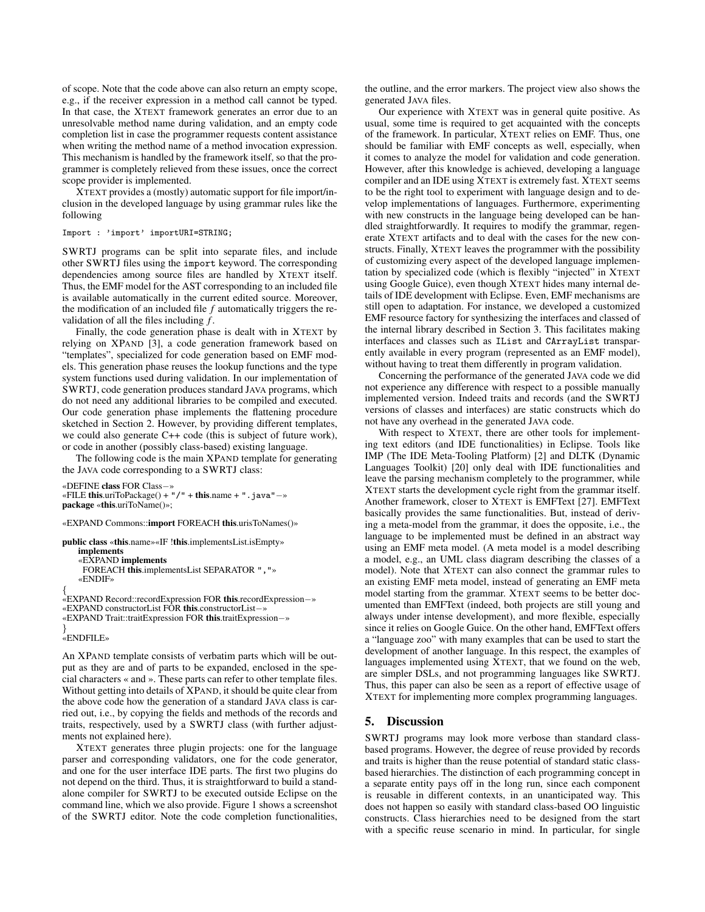of scope. Note that the code above can also return an empty scope, e.g., if the receiver expression in a method call cannot be typed. In that case, the XTEXT framework generates an error due to an unresolvable method name during validation, and an empty code completion list in case the programmer requests content assistance when writing the method name of a method invocation expression. This mechanism is handled by the framework itself, so that the programmer is completely relieved from these issues, once the correct scope provider is implemented.

XTEXT provides a (mostly) automatic support for file import/inclusion in the developed language by using grammar rules like the following

#### Import : 'import' importURI=STRING;

SWRTJ programs can be split into separate files, and include other SWRTJ files using the import keyword. The corresponding dependencies among source files are handled by XTEXT itself. Thus, the EMF model for the AST corresponding to an included file is available automatically in the current edited source. Moreover, the modification of an included file *f* automatically triggers the revalidation of all the files including *f* .

Finally, the code generation phase is dealt with in XTEXT by relying on XPAND [3], a code generation framework based on "templates", specialized for code generation based on EMF models. This generation phase reuses the lookup functions and the type system functions used during validation. In our implementation of SWRTJ, code generation produces standard JAVA programs, which do not need any additional libraries to be compiled and executed. Our code generation phase implements the flattening procedure sketched in Section 2. However, by providing different templates, we could also generate C++ code (this is subject of future work), or code in another (possibly class-based) existing language.

The following code is the main XPAND template for generating the JAVA code corresponding to a SWRTJ class:

```
«DEFINE class FOR Class−»
«FILE this.uriToPackage() + "/" + this.name + ". java"-»
package «this.uriToName()»;
```
#### «EXPAND Commons::import FOREACH this.urisToNames()»

public class «this.name»«IF !this.implementsList.isEmpty» implements «EXPAND implements FOREACH this.implementsList SEPARATOR ","» «ENDIF»

{ «EXPAND Record::recordExpression FOR this.recordExpression−» «EXPAND constructorList FOR this.constructorList−» «EXPAND Trait::traitExpression FOR this.traitExpression−»

#### } «ENDFILE»

An XPAND template consists of verbatim parts which will be output as they are and of parts to be expanded, enclosed in the special characters « and ». These parts can refer to other template files. Without getting into details of XPAND, it should be quite clear from the above code how the generation of a standard JAVA class is carried out, i.e., by copying the fields and methods of the records and traits, respectively, used by a SWRTJ class (with further adjustments not explained here).

XTEXT generates three plugin projects: one for the language parser and corresponding validators, one for the code generator, and one for the user interface IDE parts. The first two plugins do not depend on the third. Thus, it is straightforward to build a standalone compiler for SWRTJ to be executed outside Eclipse on the command line, which we also provide. Figure 1 shows a screenshot of the SWRTJ editor. Note the code completion functionalities,

the outline, and the error markers. The project view also shows the generated JAVA files.

Our experience with XTEXT was in general quite positive. As usual, some time is required to get acquainted with the concepts of the framework. In particular, XTEXT relies on EMF. Thus, one should be familiar with EMF concepts as well, especially, when it comes to analyze the model for validation and code generation. However, after this knowledge is achieved, developing a language compiler and an IDE using XTEXT is extremely fast. XTEXT seems to be the right tool to experiment with language design and to develop implementations of languages. Furthermore, experimenting with new constructs in the language being developed can be handled straightforwardly. It requires to modify the grammar, regenerate XTEXT artifacts and to deal with the cases for the new constructs. Finally, XTEXT leaves the programmer with the possibility of customizing every aspect of the developed language implementation by specialized code (which is flexibly "injected" in XTEXT using Google Guice), even though XTEXT hides many internal details of IDE development with Eclipse. Even, EMF mechanisms are still open to adaptation. For instance, we developed a customized EMF resource factory for synthesizing the interfaces and classed of the internal library described in Section 3. This facilitates making interfaces and classes such as IList and CArrayList transparently available in every program (represented as an EMF model), without having to treat them differently in program validation.

Concerning the performance of the generated JAVA code we did not experience any difference with respect to a possible manually implemented version. Indeed traits and records (and the SWRTJ versions of classes and interfaces) are static constructs which do not have any overhead in the generated JAVA code.

With respect to XTEXT, there are other tools for implementing text editors (and IDE functionalities) in Eclipse. Tools like IMP (The IDE Meta-Tooling Platform) [2] and DLTK (Dynamic Languages Toolkit) [20] only deal with IDE functionalities and leave the parsing mechanism completely to the programmer, while XTEXT starts the development cycle right from the grammar itself. Another framework, closer to XTEXT is EMFText [27]. EMFText basically provides the same functionalities. But, instead of deriving a meta-model from the grammar, it does the opposite, i.e., the language to be implemented must be defined in an abstract way using an EMF meta model. (A meta model is a model describing a model, e.g., an UML class diagram describing the classes of a model). Note that XTEXT can also connect the grammar rules to an existing EMF meta model, instead of generating an EMF meta model starting from the grammar. XTEXT seems to be better documented than EMFText (indeed, both projects are still young and always under intense development), and more flexible, especially since it relies on Google Guice. On the other hand, EMFText offers a "language zoo" with many examples that can be used to start the development of another language. In this respect, the examples of languages implemented using XTEXT, that we found on the web, are simpler DSLs, and not programming languages like SWRTJ. Thus, this paper can also be seen as a report of effective usage of XTEXT for implementing more complex programming languages.

## 5. Discussion

SWRTJ programs may look more verbose than standard classbased programs. However, the degree of reuse provided by records and traits is higher than the reuse potential of standard static classbased hierarchies. The distinction of each programming concept in a separate entity pays off in the long run, since each component is reusable in different contexts, in an unanticipated way. This does not happen so easily with standard class-based OO linguistic constructs. Class hierarchies need to be designed from the start with a specific reuse scenario in mind. In particular, for single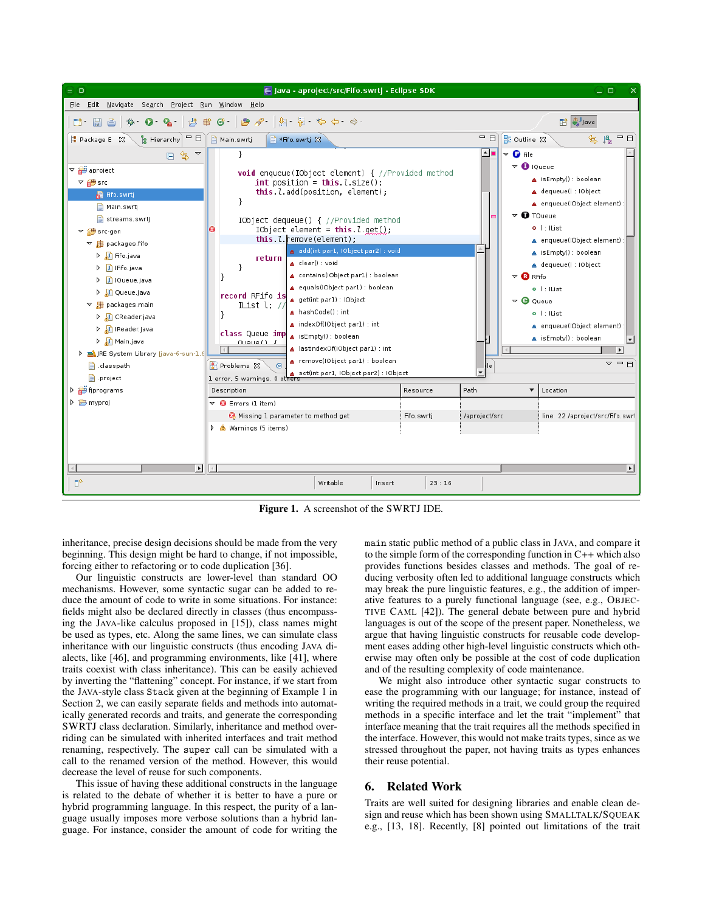

Figure 1. A screenshot of the SWRTJ IDE.

inheritance, precise design decisions should be made from the very beginning. This design might be hard to change, if not impossible, forcing either to refactoring or to code duplication [36].

Our linguistic constructs are lower-level than standard OO mechanisms. However, some syntactic sugar can be added to reduce the amount of code to write in some situations. For instance: fields might also be declared directly in classes (thus encompassing the JAVA-like calculus proposed in [15]), class names might be used as types, etc. Along the same lines, we can simulate class inheritance with our linguistic constructs (thus encoding JAVA dialects, like [46], and programming environments, like [41], where traits coexist with class inheritance). This can be easily achieved by inverting the "flattening" concept. For instance, if we start from the JAVA-style class Stack given at the beginning of Example 1 in Section 2, we can easily separate fields and methods into automatically generated records and traits, and generate the corresponding SWRTJ class declaration. Similarly, inheritance and method overriding can be simulated with inherited interfaces and trait method renaming, respectively. The super call can be simulated with a call to the renamed version of the method. However, this would decrease the level of reuse for such components.

This issue of having these additional constructs in the language is related to the debate of whether it is better to have a pure or hybrid programming language. In this respect, the purity of a language usually imposes more verbose solutions than a hybrid language. For instance, consider the amount of code for writing the

main static public method of a public class in JAVA, and compare it to the simple form of the corresponding function in C++ which also provides functions besides classes and methods. The goal of reducing verbosity often led to additional language constructs which may break the pure linguistic features, e.g., the addition of imperative features to a purely functional language (see, e.g., OBJEC-TIVE CAML [42]). The general debate between pure and hybrid languages is out of the scope of the present paper. Nonetheless, we argue that having linguistic constructs for reusable code development eases adding other high-level linguistic constructs which otherwise may often only be possible at the cost of code duplication and of the resulting complexity of code maintenance.

We might also introduce other syntactic sugar constructs to ease the programming with our language; for instance, instead of writing the required methods in a trait, we could group the required methods in a specific interface and let the trait "implement" that interface meaning that the trait requires all the methods specified in the interface. However, this would not make traits types, since as we stressed throughout the paper, not having traits as types enhances their reuse potential.

## 6. Related Work

Traits are well suited for designing libraries and enable clean design and reuse which has been shown using SMALLTALK/SQUEAK e.g., [13, 18]. Recently, [8] pointed out limitations of the trait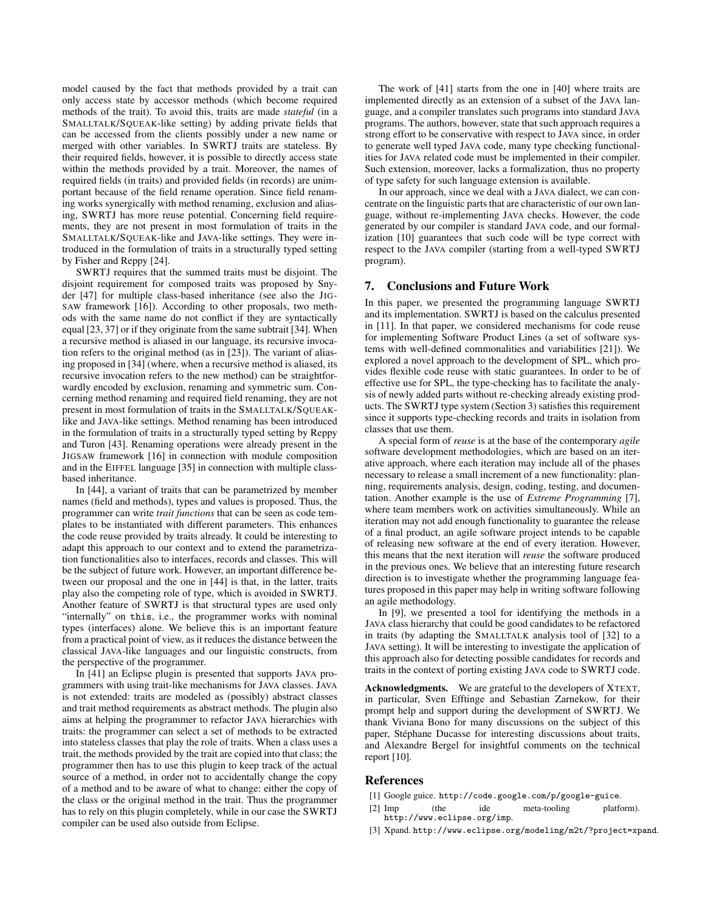model caused by the fact that methods provided by a trait can only access state by accessor methods (which become required methods of the trait). To avoid this, traits are made *stateful* (in a SMALLTALK/SQUEAK-like setting) by adding private fields that can be accessed from the clients possibly under a new name or merged with other variables. In SWRTJ traits are stateless. By their required fields, however, it is possible to directly access state within the methods provided by a trait. Moreover, the names of required fields (in traits) and provided fields (in records) are unimportant because of the field rename operation. Since field renaming works synergically with method renaming, exclusion and aliasing, SWRTJ has more reuse potential. Concerning field requirements, they are not present in most formulation of traits in the SMALLTALK/SQUEAK-like and JAVA-like settings. They were introduced in the formulation of traits in a structurally typed setting by Fisher and Reppy [24].

SWRTJ requires that the summed traits must be disjoint. The disjoint requirement for composed traits was proposed by Snyder [47] for multiple class-based inheritance (see also the JIG-SAW framework [16]). According to other proposals, two methods with the same name do not conflict if they are syntactically equal [23, 37] or if they originate from the same subtrait [34]. When a recursive method is aliased in our language, its recursive invocation refers to the original method (as in [23]). The variant of aliasing proposed in [34] (where, when a recursive method is aliased, its recursive invocation refers to the new method) can be straightforwardly encoded by exclusion, renaming and symmetric sum. Concerning method renaming and required field renaming, they are not present in most formulation of traits in the SMALLTALK/SQUEAKlike and JAVA-like settings. Method renaming has been introduced in the formulation of traits in a structurally typed setting by Reppy and Turon [43]. Renaming operations were already present in the JIGSAW framework [16] in connection with module composition and in the EIFFEL language [35] in connection with multiple classbased inheritance.

In [44], a variant of traits that can be parametrized by member names (field and methods), types and values is proposed. Thus, the programmer can write *trait functions* that can be seen as code templates to be instantiated with different parameters. This enhances the code reuse provided by traits already. It could be interesting to adapt this approach to our context and to extend the parametrization functionalities also to interfaces, records and classes. This will be the subject of future work. However, an important difference between our proposal and the one in [44] is that, in the latter, traits play also the competing role of type, which is avoided in SWRTJ. Another feature of SWRTJ is that structural types are used only "internally" on this, i.e., the programmer works with nominal types (interfaces) alone. We believe this is an important feature from a practical point of view, as it reduces the distance between the classical JAVA-like languages and our linguistic constructs, from the perspective of the programmer.

In [41] an Eclipse plugin is presented that supports JAVA programmers with using trait-like mechanisms for JAVA classes. JAVA is not extended: traits are modeled as (possibly) abstract classes and trait method requirements as abstract methods. The plugin also aims at helping the programmer to refactor JAVA hierarchies with traits: the programmer can select a set of methods to be extracted into stateless classes that play the role of traits. When a class uses a trait, the methods provided by the trait are copied into that class; the programmer then has to use this plugin to keep track of the actual source of a method, in order not to accidentally change the copy of a method and to be aware of what to change: either the copy of the class or the original method in the trait. Thus the programmer has to rely on this plugin completely, while in our case the SWRTJ compiler can be used also outside from Eclipse.

The work of [41] starts from the one in [40] where traits are implemented directly as an extension of a subset of the JAVA language, and a compiler translates such programs into standard JAVA programs. The authors, however, state that such approach requires a strong effort to be conservative with respect to JAVA since, in order to generate well typed JAVA code, many type checking functionalities for JAVA related code must be implemented in their compiler. Such extension, moreover, lacks a formalization, thus no property of type safety for such language extension is available.

In our approach, since we deal with a JAVA dialect, we can concentrate on the linguistic parts that are characteristic of our own language, without re-implementing JAVA checks. However, the code generated by our compiler is standard JAVA code, and our formalization [10] guarantees that such code will be type correct with respect to the JAVA compiler (starting from a well-typed SWRTJ program).

#### 7. Conclusions and Future Work

In this paper, we presented the programming language SWRTJ and its implementation. SWRTJ is based on the calculus presented in [11]. In that paper, we considered mechanisms for code reuse for implementing Software Product Lines (a set of software systems with well-defined commonalities and variabilities [21]). We explored a novel approach to the development of SPL, which provides flexible code reuse with static guarantees. In order to be of effective use for SPL, the type-checking has to facilitate the analysis of newly added parts without re-checking already existing products. The SWRTJ type system (Section 3) satisfies this requirement since it supports type-checking records and traits in isolation from classes that use them.

A special form of *reuse* is at the base of the contemporary *agile* software development methodologies, which are based on an iterative approach, where each iteration may include all of the phases necessary to release a small increment of a new functionality: planning, requirements analysis, design, coding, testing, and documentation. Another example is the use of *Extreme Programming* [7], where team members work on activities simultaneously. While an iteration may not add enough functionality to guarantee the release of a final product, an agile software project intends to be capable of releasing new software at the end of every iteration. However, this means that the next iteration will *reuse* the software produced in the previous ones. We believe that an interesting future research direction is to investigate whether the programming language features proposed in this paper may help in writing software following an agile methodology.

In [9], we presented a tool for identifying the methods in a JAVA class hierarchy that could be good candidates to be refactored in traits (by adapting the SMALLTALK analysis tool of [32] to a JAVA setting). It will be interesting to investigate the application of this approach also for detecting possible candidates for records and traits in the context of porting existing JAVA code to SWRTJ code.

Acknowledgments. We are grateful to the developers of XTEXT, in particular, Sven Efftinge and Sebastian Zarnekow, for their prompt help and support during the development of SWRTJ. We thank Viviana Bono for many discussions on the subject of this paper, Stéphane Ducasse for interesting discussions about traits, and Alexandre Bergel for insightful comments on the technical report [10].

#### References

- [1] Google guice. http://code.google.com/p/google-guice.
- [2] Imp (the ide meta-tooling platform). http://www.eclipse.org/imp.
- [3] Xpand. http://www.eclipse.org/modeling/m2t/?project=xpand.